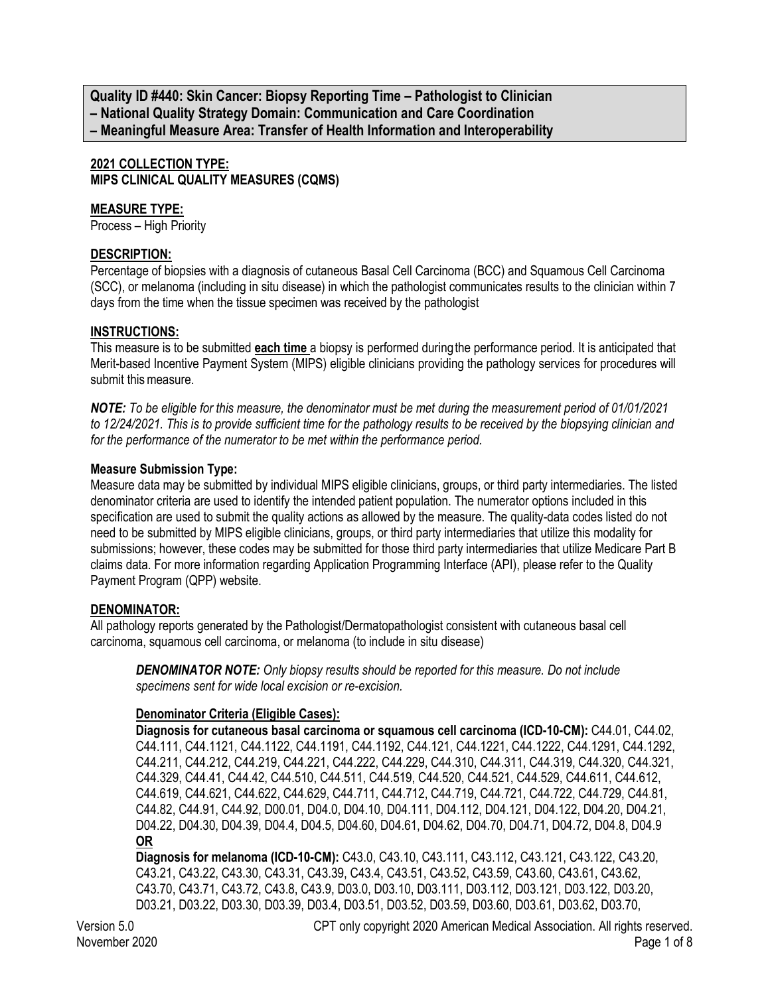**Quality ID #440: Skin Cancer: Biopsy Reporting Time – Pathologist to Clinician – National Quality Strategy Domain: Communication and Care Coordination – Meaningful Measure Area: Transfer of Health Information and Interoperability**

### **2021 COLLECTION TYPE: MIPS CLINICAL QUALITY MEASURES (CQMS)**

#### **MEASURE TYPE:**

Process – High Priority

#### **DESCRIPTION:**

Percentage of biopsies with a diagnosis of cutaneous Basal Cell Carcinoma (BCC) and Squamous Cell Carcinoma (SCC), or melanoma (including in situ disease) in which the pathologist communicates results to the clinician within 7 days from the time when the tissue specimen was received by the pathologist

#### **INSTRUCTIONS:**

This measure is to be submitted **each time** a biopsy is performed during the performance period. It is anticipated that Merit-based Incentive Payment System (MIPS) eligible clinicians providing the pathology services for procedures will submit this measure.

*NOTE: To be eligible for this measure, the denominator must be met during the measurement period of 01/01/2021 to 12/24/2021. This is to provide sufficient time for the pathology results to be received by the biopsying clinician and for the performance of the numerator to be met within the performance period.*

#### **Measure Submission Type:**

Measure data may be submitted by individual MIPS eligible clinicians, groups, or third party intermediaries. The listed denominator criteria are used to identify the intended patient population. The numerator options included in this specification are used to submit the quality actions as allowed by the measure. The quality-data codes listed do not need to be submitted by MIPS eligible clinicians, groups, or third party intermediaries that utilize this modality for submissions; however, these codes may be submitted for those third party intermediaries that utilize Medicare Part B claims data. For more information regarding Application Programming Interface (API), please refer to the Quality Payment Program (QPP) website.

#### **DENOMINATOR:**

All pathology reports generated by the Pathologist/Dermatopathologist consistent with cutaneous basal cell carcinoma, squamous cell carcinoma, or melanoma (to include in situ disease)

*DENOMINATOR NOTE: Only biopsy results should be reported for this measure. Do not include specimens sent for wide local excision or re-excision.*

#### **Denominator Criteria (Eligible Cases):**

**Diagnosis for cutaneous basal carcinoma or squamous cell carcinoma (ICD-10-CM):** C44.01, C44.02, C44.111, C44.1121, C44.1122, C44.1191, C44.1192, C44.121, C44.1221, C44.1222, C44.1291, C44.1292, C44.211, C44.212, C44.219, C44.221, C44.222, C44.229, C44.310, C44.311, C44.319, C44.320, C44.321, C44.329, C44.41, C44.42, C44.510, C44.511, C44.519, C44.520, C44.521, C44.529, C44.611, C44.612, C44.619, C44.621, C44.622, C44.629, C44.711, C44.712, C44.719, C44.721, C44.722, C44.729, C44.81, C44.82, C44.91, C44.92, D00.01, D04.0, D04.10, D04.111, D04.112, D04.121, D04.122, D04.20, D04.21, D04.22, D04.30, D04.39, D04.4, D04.5, D04.60, D04.61, D04.62, D04.70, D04.71, D04.72, D04.8, D04.9 **OR**

**Diagnosis for melanoma (ICD-10-CM):** C43.0, C43.10, C43.111, C43.112, C43.121, C43.122, C43.20, C43.21, C43.22, C43.30, C43.31, C43.39, C43.4, C43.51, C43.52, C43.59, C43.60, C43.61, C43.62, C43.70, C43.71, C43.72, C43.8, C43.9, D03.0, D03.10, D03.111, D03.112, D03.121, D03.122, D03.20, D03.21, D03.22, D03.30, D03.39, D03.4, D03.51, D03.52, D03.59, D03.60, D03.61, D03.62, D03.70,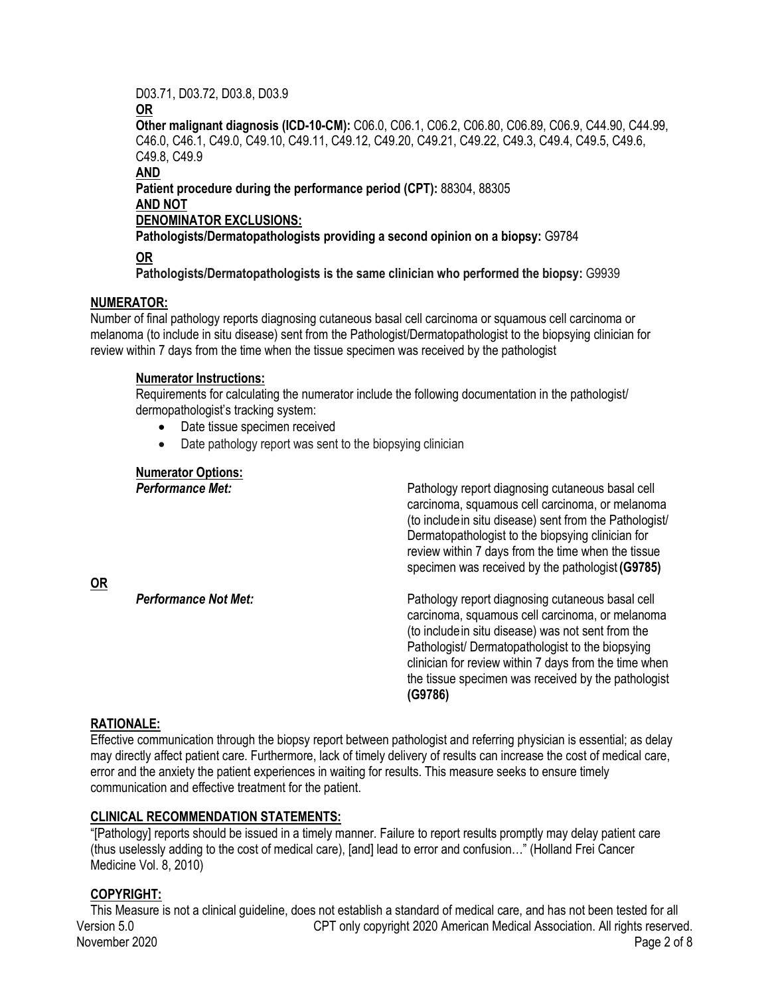#### D03.71, D03.72, D03.8, D03.9

**OR**

**Other malignant diagnosis (ICD-10-CM):** C06.0, C06.1, C06.2, C06.80, C06.89, C06.9, C44.90, C44.99, C46.0, C46.1, C49.0, C49.10, C49.11, C49.12, C49.20, C49.21, C49.22, C49.3, C49.4, C49.5, C49.6, C49.8, C49.9

**AND**

**Patient procedure during the performance period (CPT):** 88304, 88305 **AND NOT**

## **DENOMINATOR EXCLUSIONS:**

**Pathologists/Dermatopathologists providing a second opinion on a biopsy:** G9784

**OR**

**Pathologists/Dermatopathologists is the same clinician who performed the biopsy:** G9939

# **NUMERATOR:**

Number of final pathology reports diagnosing cutaneous basal cell carcinoma or squamous cell carcinoma or melanoma (to include in situ disease) sent from the Pathologist/Dermatopathologist to the biopsying clinician for review within 7 days from the time when the tissue specimen was received by the pathologist

### **Numerator Instructions:**

Requirements for calculating the numerator include the following documentation in the pathologist/ dermopathologist's tracking system:

- Date tissue specimen received
- Date pathology report was sent to the biopsying clinician

# **Numerator Options:**

| <b>Performance Met:</b>     | Pathology report diagnosing cutaneous basal cell<br>carcinoma, squamous cell carcinoma, or melanoma<br>(to include in situ disease) sent from the Pathologist/<br>Dermatopathologist to the biopsying clinician for<br>review within 7 days from the time when the tissue<br>specimen was received by the pathologist (G9785)            |
|-----------------------------|------------------------------------------------------------------------------------------------------------------------------------------------------------------------------------------------------------------------------------------------------------------------------------------------------------------------------------------|
| <b>Performance Not Met:</b> | Pathology report diagnosing cutaneous basal cell<br>carcinoma, squamous cell carcinoma, or melanoma<br>(to include in situ disease) was not sent from the<br>Pathologist/ Dermatopathologist to the biopsying<br>clinician for review within 7 days from the time when<br>the tissue specimen was received by the pathologist<br>(G9786) |

# **RATIONALE:**

**OR**

Effective communication through the biopsy report between pathologist and referring physician is essential; as delay may directly affect patient care. Furthermore, lack of timely delivery of results can increase the cost of medical care, error and the anxiety the patient experiences in waiting for results. This measure seeks to ensure timely communication and effective treatment for the patient.

# **CLINICAL RECOMMENDATION STATEMENTS:**

"[Pathology] reports should be issued in a timely manner. Failure to report results promptly may delay patient care (thus uselessly adding to the cost of medical care), [and] lead to error and confusion…" (Holland Frei Cancer Medicine Vol. 8, 2010)

# **COPYRIGHT:**

Version 5.0 CPT only copyright 2020 American Medical Association. All rights reserved. November 2020 Page 2 of 8 This Measure is not a clinical guideline, does not establish a standard of medical care, and has not been tested for all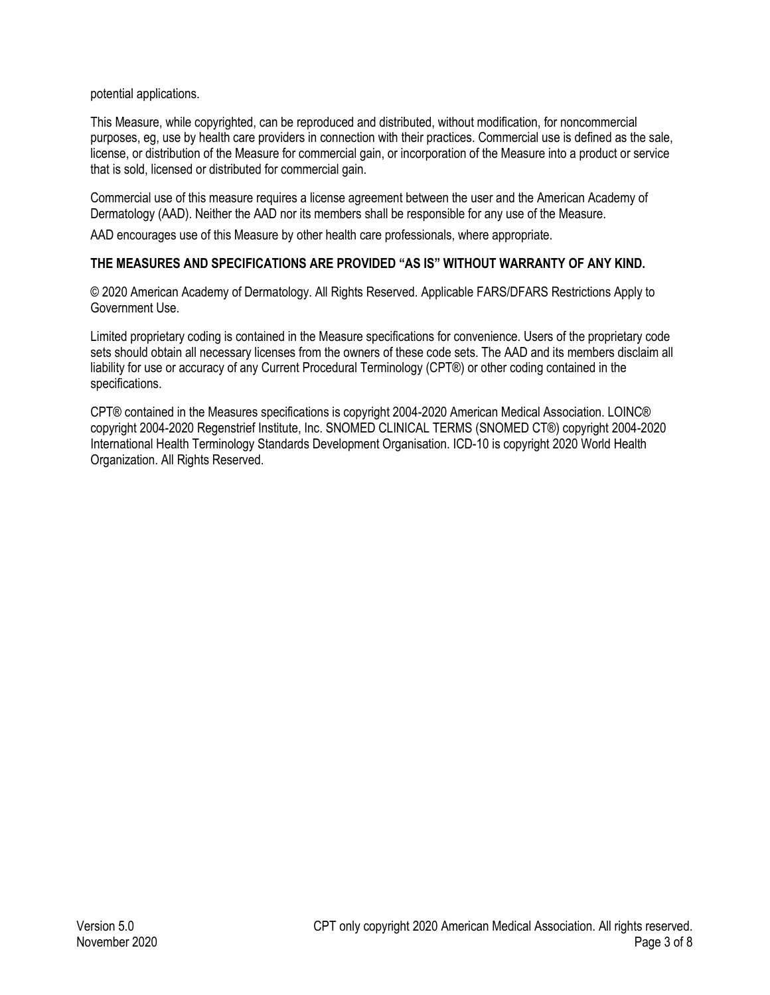potential applications.

This Measure, while copyrighted, can be reproduced and distributed, without modification, for noncommercial purposes, eg, use by health care providers in connection with their practices. Commercial use is defined as the sale, license, or distribution of the Measure for commercial gain, or incorporation of the Measure into a product or service that is sold, licensed or distributed for commercial gain.

Commercial use of this measure requires a license agreement between the user and the American Academy of Dermatology (AAD). Neither the AAD nor its members shall be responsible for any use of the Measure.

AAD encourages use of this Measure by other health care professionals, where appropriate.

### **THE MEASURES AND SPECIFICATIONS ARE PROVIDED "AS IS" WITHOUT WARRANTY OF ANY KIND.**

© 2020 American Academy of Dermatology. All Rights Reserved. Applicable FARS/DFARS Restrictions Apply to Government Use.

Limited proprietary coding is contained in the Measure specifications for convenience. Users of the proprietary code sets should obtain all necessary licenses from the owners of these code sets. The AAD and its members disclaim all liability for use or accuracy of any Current Procedural Terminology (CPT®) or other coding contained in the specifications.

CPT® contained in the Measures specifications is copyright 2004-2020 American Medical Association. LOINC® copyright 2004-2020 Regenstrief Institute, Inc. SNOMED CLINICAL TERMS (SNOMED CT®) copyright 2004-2020 International Health Terminology Standards Development Organisation. ICD-10 is copyright 2020 World Health Organization. All Rights Reserved.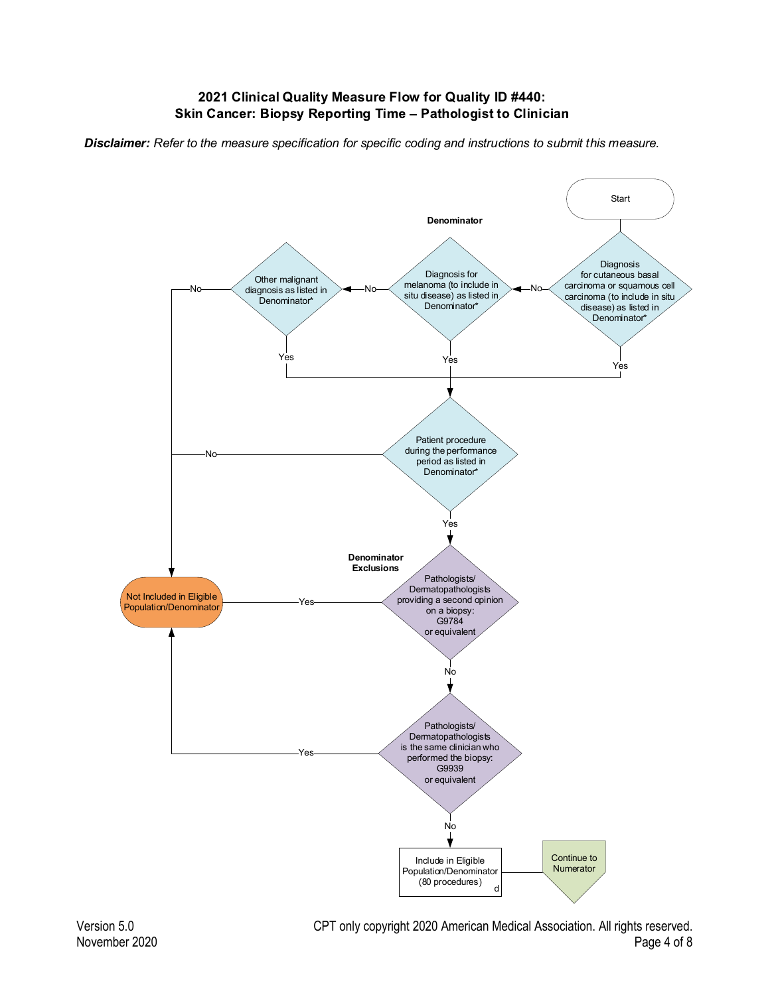# **2021 Clinical Quality Measure Flow for Quality ID #440:**

*Disclaimer: Refer to the measure specification for specific coding and instructions to submit this measure.*

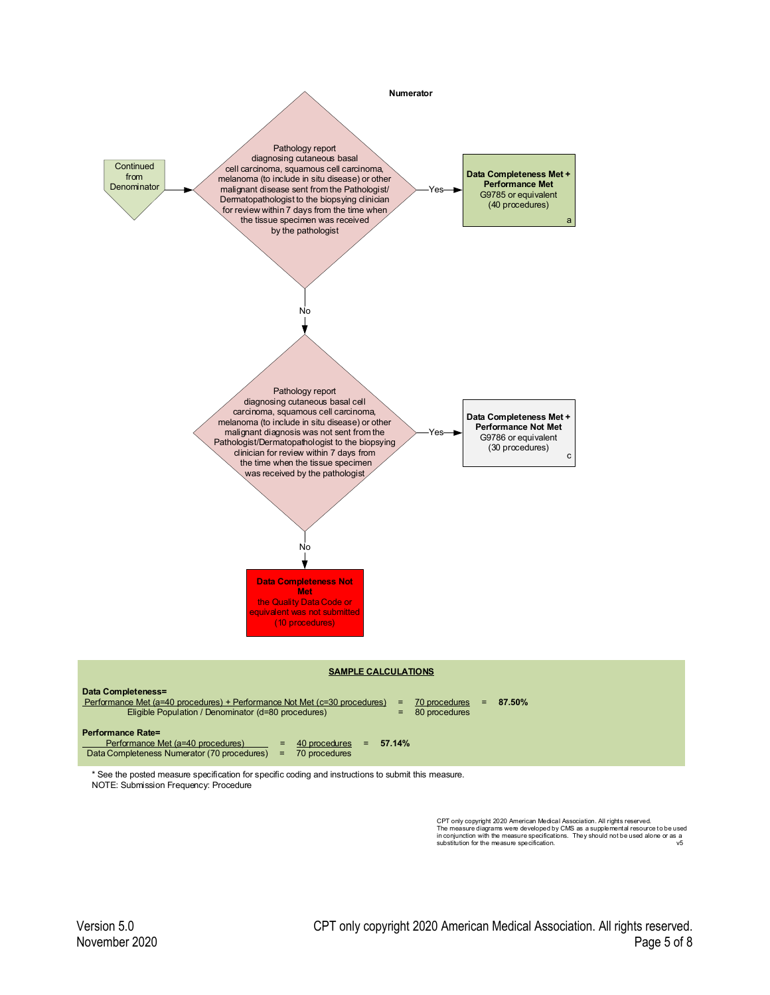

CPT only copyright 2020 American Medical Association. All rights reserved.<br>The measure diagrams were developed by CMS as a supplemental resource to be used<br>in conjunction with the measure specifications. They should not be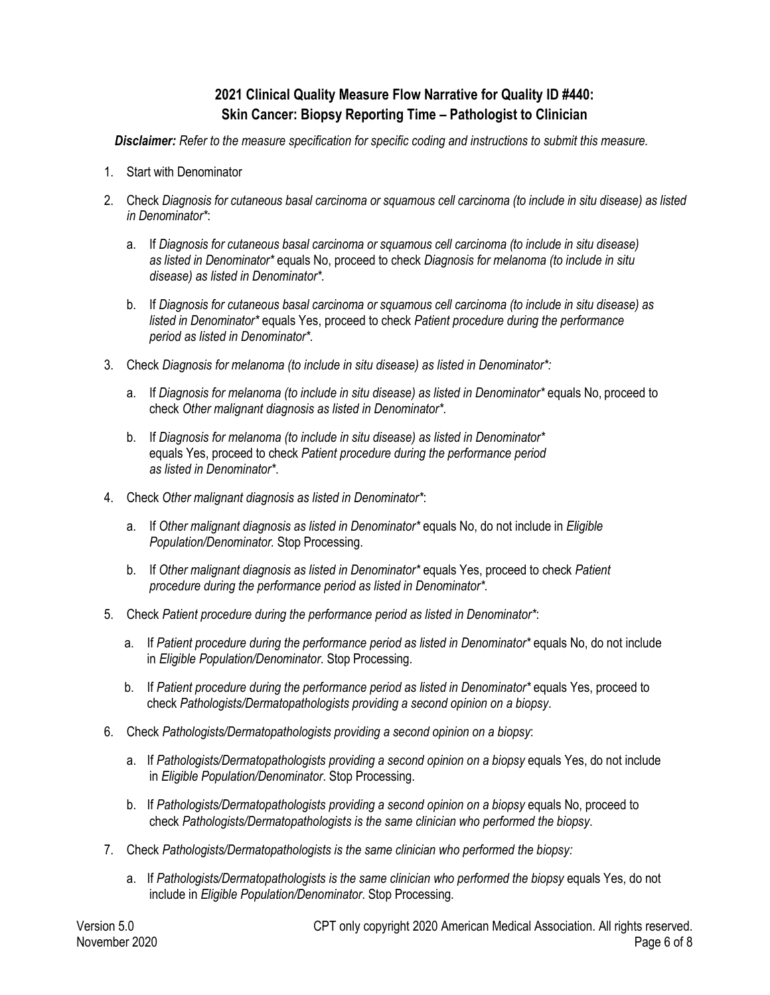# **2021 Clinical Quality Measure Flow Narrative for Quality ID #440: Skin Cancer: Biopsy Reporting Time – Pathologist to Clinician**

*Disclaimer: Refer to the measure specification for specific coding and instructions to submit this measure.*

- 1. Start with Denominator
- 2. Check *Diagnosis for cutaneous basal carcinoma or squamous cell carcinoma (to include in situ disease) as listed in Denominator\**:
	- a. If *Diagnosis for cutaneous basal carcinoma or squamous cell carcinoma (to include in situ disease) as listed in Denominator\** equals No, proceed to check *Diagnosis for melanoma (to include in situ disease) as listed in Denominator\*.*
	- b. If *Diagnosis for cutaneous basal carcinoma or squamous cell carcinoma (to include in situ disease) as listed in Denominator\** equals Yes, proceed to check *Patient procedure during the performance period as listed in Denominator\*.*
- 3. Check *Diagnosis for melanoma (to include in situ disease) as listed in Denominator\*:*
	- a. If *Diagnosis for melanoma (to include in situ disease) as listed in Denominator\** equals No, proceed to check *Other malignant diagnosis as listed in Denominator\*.*
	- b. If *Diagnosis for melanoma (to include in situ disease) as listed in Denominator\**  equals Yes, proceed to check *Patient procedure during the performance period as listed in Denominator\**.
- 4. Check *Other malignant diagnosis as listed in Denominator\**:
	- a. If *Other malignant diagnosis as listed in Denominator\** equals No, do not include in *Eligible Population/Denominator.* Stop Processing.
	- b. If *Other malignant diagnosis as listed in Denominator\** equals Yes, proceed to check *Patient procedure during the performance period as listed in Denominator\*.*
- 5. Check *Patient procedure during the performance period as listed in Denominator\**:
	- a. If *Patient procedure during the performance period as listed in Denominator\** equals No, do not include in *Eligible Population/Denominator*. Stop Processing.
	- b. If *Patient procedure during the performance period as listed in Denominator\** equals Yes, proceed to check *Pathologists/Dermatopathologists providing a second opinion on a biopsy*.
- 6. Check *Pathologists/Dermatopathologists providing a second opinion on a biopsy*:
	- a. If *Pathologists/Dermatopathologists providing a second opinion on a biopsy* equals Yes, do not include in *Eligible Population/Denominator*. Stop Processing.
	- b. If *Pathologists/Dermatopathologists providing a second opinion on a biopsy* equals No, proceed to check *Pathologists/Dermatopathologists is the same clinician who performed the biopsy*.
- 7. Check *Pathologists/Dermatopathologists is the same clinician who performed the biopsy:*
	- a. If *Pathologists/Dermatopathologists is the same clinician who performed the biopsy* equals Yes, do not include in *Eligible Population/Denominator*. Stop Processing.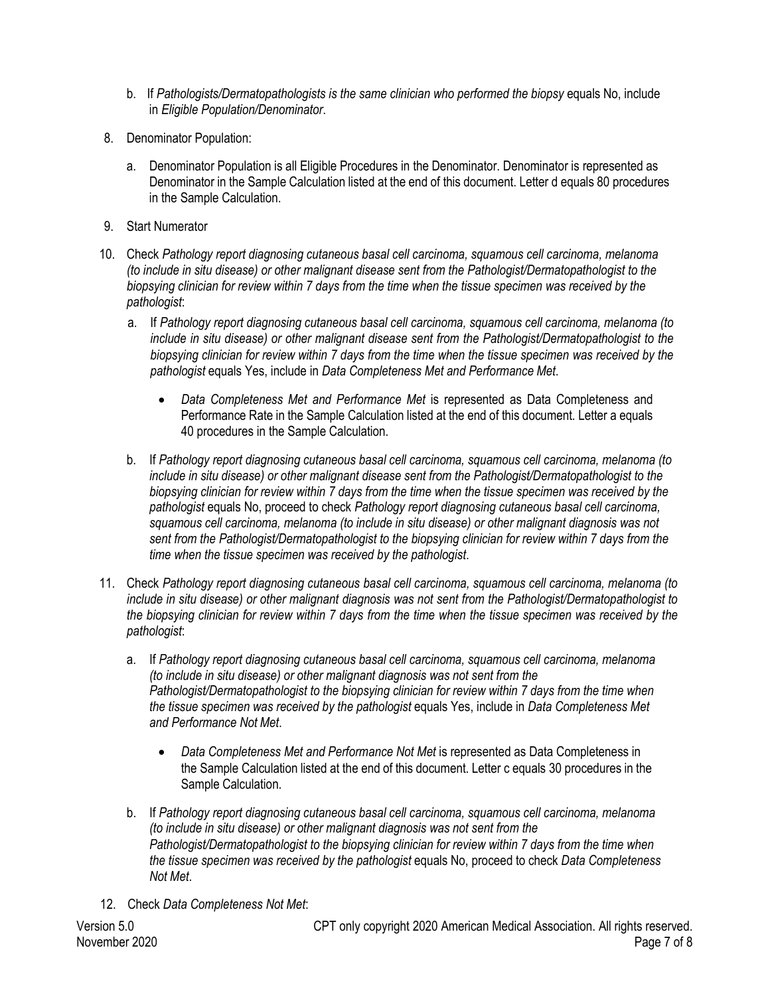- b. If *Pathologists/Dermatopathologists is the same clinician who performed the biopsy* equals No, include in *Eligible Population/Denominator*.
- 8. Denominator Population:
	- a. Denominator Population is all Eligible Procedures in the Denominator. Denominator is represented as Denominator in the Sample Calculation listed at the end of this document. Letter d equals 80 procedures in the Sample Calculation.
- 9. Start Numerator
- 10. Check *Pathology report diagnosing cutaneous basal cell carcinoma, squamous cell carcinoma, melanoma (to include in situ disease) or other malignant disease sent from the Pathologist/Dermatopathologist to the biopsying clinician for review within 7 days from the time when the tissue specimen was received by the pathologist*:
	- a. If *Pathology report diagnosing cutaneous basal cell carcinoma, squamous cell carcinoma, melanoma (to include in situ disease) or other malignant disease sent from the Pathologist/Dermatopathologist to the biopsying clinician for review within 7 days from the time when the tissue specimen was received by the pathologist* equals Yes, include in *Data Completeness Met and Performance Met*.
		- *Data Completeness Met and Performance Met* is represented as Data Completeness and Performance Rate in the Sample Calculation listed at the end of this document. Letter a equals 40 procedures in the Sample Calculation.
	- b. If *Pathology report diagnosing cutaneous basal cell carcinoma, squamous cell carcinoma, melanoma (to include in situ disease) or other malignant disease sent from the Pathologist/Dermatopathologist to the biopsying clinician for review within 7 days from the time when the tissue specimen was received by the pathologist* equals No, proceed to check *Pathology report diagnosing cutaneous basal cell carcinoma, squamous cell carcinoma, melanoma (to include in situ disease) or other malignant diagnosis was not sent from the Pathologist/Dermatopathologist to the biopsying clinician for review within 7 days from the time when the tissue specimen was received by the pathologist*.
- 11. Check *Pathology report diagnosing cutaneous basal cell carcinoma, squamous cell carcinoma, melanoma (to include in situ disease) or other malignant diagnosis was not sent from the Pathologist/Dermatopathologist to the biopsying clinician for review within 7 days from the time when the tissue specimen was received by the pathologist*:
	- a. If *Pathology report diagnosing cutaneous basal cell carcinoma, squamous cell carcinoma, melanoma (to include in situ disease) or other malignant diagnosis was not sent from the Pathologist/Dermatopathologist to the biopsying clinician for review within 7 days from the time when the tissue specimen was received by the pathologist* equals Yes, include in *Data Completeness Met and Performance Not Met*.
		- *Data Completeness Met and Performance Not Met* is represented as Data Completeness in the Sample Calculation listed at the end of this document. Letter c equals 30 procedures in the Sample Calculation.
	- b. If *Pathology report diagnosing cutaneous basal cell carcinoma, squamous cell carcinoma, melanoma (to include in situ disease) or other malignant diagnosis was not sent from the Pathologist/Dermatopathologist to the biopsying clinician for review within 7 days from the time when the tissue specimen was received by the pathologist* equals No, proceed to check *Data Completeness Not Met*.
- 12. Check *Data Completeness Not Met*: